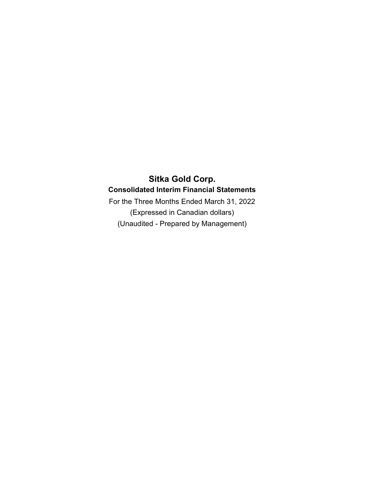# Consolidated Interim Financial Statements Sitka Gold Corp.

(Expressed in Canadian dollars) For the Three Months Ended March 31, 2022 (Unaudited - Prepared by Management)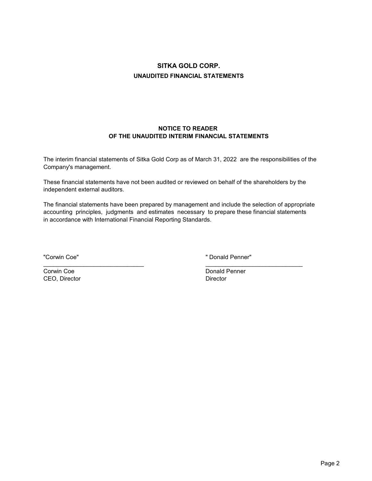# SITKA GOLD CORP. UNAUDITED FINANCIAL STATEMENTS

## NOTICE TO READER OF THE UNAUDITED INTERIM FINANCIAL STATEMENTS

The interim financial statements of Sitka Gold Corp as of March 31, 2022 are the responsibilities of the Company's management.

These financial statements have not been audited or reviewed on behalf of the shareholders by the independent external auditors.

The financial statements have been prepared by management and include the selection of appropriate accounting principles, judgments and estimates necessary to prepare these financial statements in accordance with International Financial Reporting Standards.

 $\mathcal{L}_\text{max}$  , and the contribution of the contribution of the contribution of the contribution of the contribution of the contribution of the contribution of the contribution of the contribution of the contribution of t

"Corwin Coe" " Donald Penner"

CEO, Director

Corwin Coe Donald Penner<br>CEO. Director Director Director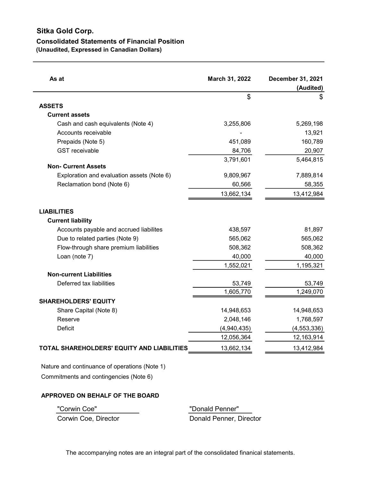# Sitka Gold Corp. Consolidated Statements of Financial Position (Unaudited, Expressed in Canadian Dollars)

| As at                                      | March 31, 2022 | December 31, 2021 |
|--------------------------------------------|----------------|-------------------|
|                                            | \$             | (Audited)<br>\$   |
| <b>ASSETS</b>                              |                |                   |
| <b>Current assets</b>                      |                |                   |
| Cash and cash equivalents (Note 4)         | 3,255,806      | 5,269,198         |
| Accounts receivable                        |                | 13,921            |
| Prepaids (Note 5)                          | 451,089        | 160,789           |
| <b>GST</b> receivable                      | 84,706         | 20,907            |
|                                            | 3,791,601      | 5,464,815         |
| <b>Non- Current Assets</b>                 |                |                   |
| Exploration and evaluation assets (Note 6) | 9,809,967      | 7,889,814         |
| Reclamation bond (Note 6)                  | 60,566         | 58,355            |
|                                            | 13,662,134     | 13,412,984        |
| <b>LIABILITIES</b>                         |                |                   |
| <b>Current liability</b>                   |                |                   |
| Accounts payable and accrued liabilites    | 438,597        | 81,897            |
| Due to related parties (Note 9)            | 565,062        | 565,062           |
| Flow-through share premium liabilities     | 508,362        | 508,362           |
| Loan (note 7)                              | 40,000         | 40,000            |
|                                            | 1,552,021      | 1,195,321         |
| <b>Non-current Liabilities</b>             |                |                   |
| Deferred tax liabilities                   | 53,749         | 53,749            |
|                                            | 1,605,770      | 1,249,070         |
| <b>SHAREHOLDERS' EQUITY</b>                |                |                   |
| Share Capital (Note 8)                     | 14,948,653     | 14,948,653        |
| Reserve                                    | 2,048,146      | 1,768,597         |
| <b>Deficit</b>                             | (4,940,435)    | (4, 553, 336)     |
|                                            | 12,056,364     | 12,163,914        |
| TOTAL SHAREHOLDERS' EQUITY AND LIABILITIES | 13,662,134     | 13,412,984        |

Nature and continuance of operations (Note 1) Commitments and contingencies (Note 6)

## APPROVED ON BEHALF OF THE BOARD

"Corwin Coe" "Donald Penner"

Corwin Coe, Director **Donald Penner**, Director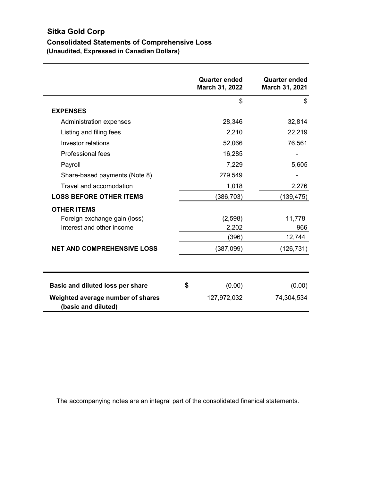# Sitka Gold Corp Consolidated Statements of Comprehensive Loss (Unaudited, Expressed in Canadian Dollars)

|                                                          |   | Quarter ended<br>March 31, 2022 | Quarter ended<br>March 31, 2021 |
|----------------------------------------------------------|---|---------------------------------|---------------------------------|
|                                                          |   | \$                              | \$                              |
| <b>EXPENSES</b>                                          |   |                                 |                                 |
| Administration expenses                                  |   | 28,346                          | 32,814                          |
| Listing and filing fees                                  |   | 2,210                           | 22,219                          |
| Investor relations                                       |   | 52,066                          | 76,561                          |
| Professional fees                                        |   | 16,285                          |                                 |
| Payroll                                                  |   | 7,229                           | 5,605                           |
| Share-based payments (Note 8)                            |   | 279,549                         |                                 |
| Travel and accomodation                                  |   | 1,018                           | 2,276                           |
| <b>LOSS BEFORE OTHER ITEMS</b>                           |   | (386, 703)                      | (139,475)                       |
| <b>OTHER ITEMS</b>                                       |   |                                 |                                 |
| Foreign exchange gain (loss)                             |   | (2,598)                         | 11,778                          |
| Interest and other income                                |   | 2,202                           | 966                             |
|                                                          |   | (396)                           | 12,744                          |
| <b>NET AND COMPREHENSIVE LOSS</b>                        |   | (387,099)                       | (126, 731)                      |
|                                                          |   |                                 |                                 |
| Basic and diluted loss per share                         | S | (0.00)                          | (0.00)                          |
| Weighted average number of shares<br>(basic and diluted) |   | 127,972,032                     | 74,304,534                      |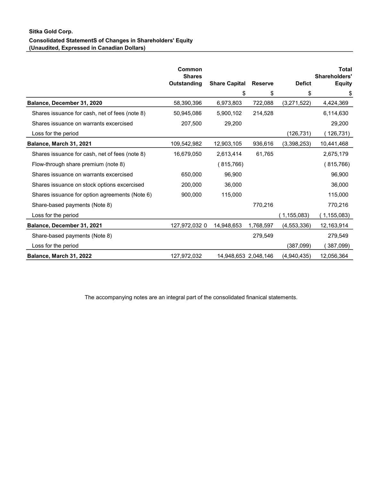## Sitka Gold Corp. Consolidated StatementS of Changes in Shareholders' Equity (Unaudited, Expressed in Canadian Dollars)

|                                                | Common<br><b>Shares</b> |                      |                |               | <b>Total</b><br>Shareholders' |
|------------------------------------------------|-------------------------|----------------------|----------------|---------------|-------------------------------|
|                                                | Outstanding             | <b>Share Capital</b> | <b>Reserve</b> | <b>Defict</b> | <b>Equity</b>                 |
|                                                |                         | \$                   | \$             | \$            | \$                            |
| Balance, December 31, 2020                     | 58,390,396              | 6,973,803            | 722,088        | (3,271,522)   | 4,424,369                     |
| Shares issuance for cash, net of fees (note 8) | 50,945,086              | 5,900,102            | 214,528        |               | 6,114,630                     |
| Shares issuance on warrants excercised         | 207,500                 | 29,200               |                |               | 29,200                        |
| Loss for the period                            |                         |                      |                | (126, 731)    | 126,731)                      |
| Balance, March 31, 2021                        | 109,542,982             | 12,903,105           | 936,616        | (3,398,253)   | 10,441,468                    |
| Shares issuance for cash, net of fees (note 8) | 16,679,050              | 2,613,414            | 61,765         |               | 2,675,179                     |
| Flow-through share premium (note 8)            |                         | (815,766)            |                |               | (815,766)                     |
| Shares issuance on warrants excercised         | 650,000                 | 96,900               |                |               | 96,900                        |
| Shares issuance on stock options excercised    | 200,000                 | 36,000               |                |               | 36,000                        |
| Shares issuance for option agreements (Note 6) | 900,000                 | 115,000              |                |               | 115,000                       |
| Share-based payments (Note 8)                  |                         |                      | 770,216        |               | 770,216                       |
| Loss for the period                            |                         |                      |                | 1,155,083     | (1, 155, 083)                 |
| Balance, December 31, 2021                     | 127,972,032 0           | 14,948,653           | 1,768,597      | (4, 553, 336) | 12,163,914                    |
| Share-based payments (Note 8)                  |                         |                      | 279,549        |               | 279,549                       |
| Loss for the period                            |                         |                      |                | (387,099)     | 387,099)                      |
| Balance, March 31, 2022                        | 127,972,032             | 14,948,653 2,048,146 |                | (4,940,435)   | 12,056,364                    |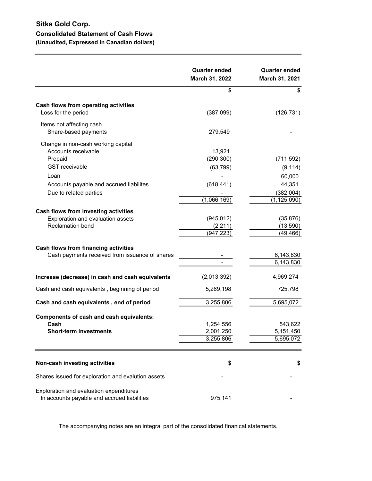# Sitka Gold Corp. Consolidated Statement of Cash Flows (Unaudited, Expressed in Canadian dollars)

|                                                                                        | Quarter ended<br>March 31, 2022 | <b>Quarter ended</b><br>March 31, 2021 |
|----------------------------------------------------------------------------------------|---------------------------------|----------------------------------------|
|                                                                                        | \$                              | \$                                     |
| Cash flows from operating activities                                                   |                                 |                                        |
| Loss for the period                                                                    | (387,099)                       | (126, 731)                             |
| Items not affecting cash                                                               |                                 |                                        |
| Share-based payments                                                                   | 279,549                         |                                        |
| Change in non-cash working capital                                                     |                                 |                                        |
| Accounts receivable                                                                    | 13,921                          |                                        |
| Prepaid                                                                                | (290, 300)                      | (711, 592)                             |
| <b>GST</b> receivable                                                                  | (63, 799)                       | (9, 114)                               |
| Loan                                                                                   |                                 | 60,000                                 |
| Accounts payable and accrued liabilites                                                | (618, 441)                      | 44,351                                 |
| Due to related parties                                                                 |                                 | (382,004)                              |
|                                                                                        | (1,066,169)                     | (1, 125, 090)                          |
| Cash flows from investing activities                                                   |                                 |                                        |
| Exploration and evaluation assets                                                      | (945, 012)                      | (35, 876)                              |
| <b>Reclamation bond</b>                                                                | (2, 211)                        | (13,590)                               |
|                                                                                        | (947, 223)                      | (49, 466)                              |
|                                                                                        |                                 |                                        |
| Cash flows from financing activities<br>Cash payments received from issuance of shares |                                 |                                        |
|                                                                                        |                                 | 6,143,830<br>6,143,830                 |
|                                                                                        |                                 |                                        |
| Increase (decrease) in cash and cash equivalents                                       | (2,013,392)                     | 4,969,274                              |
| Cash and cash equivalents, beginning of period                                         | 5,269,198                       | 725,798                                |
| Cash and cash equivalents, end of period                                               | 3,255,806                       | 5,695,072                              |
|                                                                                        |                                 |                                        |
| Components of cash and cash equivalents:<br>Cash                                       | 1,254,556                       | 543,622                                |
| <b>Short-term investments</b>                                                          | 2,001,250                       | 5,151,450                              |
|                                                                                        | 3,255,806                       | 5,695,072                              |
|                                                                                        |                                 |                                        |
| Non-cash investing activities                                                          | \$                              | \$                                     |
|                                                                                        |                                 |                                        |
| Shares issued for exploration and evalution assets                                     |                                 |                                        |
| Exploration and evaluation expenditures                                                |                                 |                                        |
| In accounts payable and accrued liabilities                                            | 975,141                         |                                        |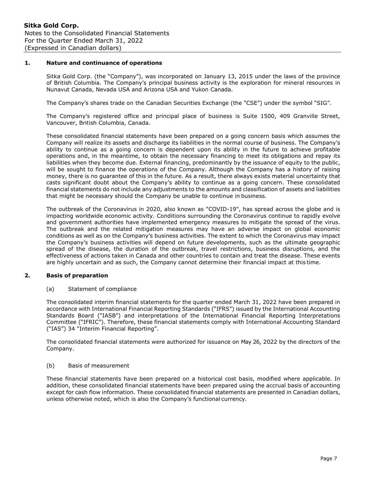#### 1. Nature and continuance of operations

Sitka Gold Corp. (the "Company"), was incorporated on January 13, 2015 under the laws of the province of British Columbia. The Company's principal business activity is the exploration for mineral resources in Nunavut Canada, Nevada USA and Arizona USA and Yukon Canada.

The Company's shares trade on the Canadian Securities Exchange (the "CSE") under the symbol "SIG".

The Company's registered office and principal place of business is Suite 1500, 409 Granville Street, Vancouver, British Columbia, Canada.

These consolidated financial statements have been prepared on a going concern basis which assumes the Company will realize its assets and discharge its liabilities in the normal course of business. The Company's ability to continue as a going concern is dependent upon its ability in the future to achieve profitable operations and, in the meantime, to obtain the necessary financing to meet its obligations and repay its liabilities when they become due. External financing, predominantly by the issuance of equity to the public, will be sought to finance the operations of the Company. Although the Company has a history of raising money, there is no guarantee of this in the future. As a result, there always exists material uncertainty that casts significant doubt about the Company's ability to continue as a going concern. These consolidated financial statements do not include any adjustments to the amounts and classification of assets and liabilities that might be necessary should the Company be unable to continue in business.

The outbreak of the Coronavirus in 2020, also known as "COVID-19", has spread across the globe and is impacting worldwide economic activity. Conditions surrounding the Coronavirus continue to rapidly evolve and government authorities have implemented emergency measures to mitigate the spread of the virus. The outbreak and the related mitigation measures may have an adverse impact on global economic conditions as well as on the Company's business activities. The extent to which the Coronavirus may impact the Company's business activities will depend on future developments, such as the ultimate geographic spread of the disease, the duration of the outbreak, travel restrictions, business disruptions, and the effectiveness of actions taken in Canada and other countries to contain and treat the disease. These events are highly uncertain and as such, the Company cannot determine their financial impact at this time.

## 2. Basis of preparation

(a) Statement of compliance

The consolidated interim financial statements for the quarter ended March 31, 2022 have been prepared in accordance with International Financial Reporting Standards ("IFRS") issued by the International Accounting Standards Board ("IASB") and interpretations of the International Financial Reporting Interpretations Committee ("IFRIC"). Therefore, these financial statements comply with International Accounting Standard ("IAS") 34 "Interim Financial Reporting".

The consolidated financial statements were authorized for issuance on May 26, 2022 by the directors of the Company.

#### (b) Basis of measurement

These financial statements have been prepared on a historical cost basis, modified where applicable. In addition, these consolidated financial statements have been prepared using the accrual basis of accounting except for cash flow information. These consolidated financial statements are presented in Canadian dollars, unless otherwise noted, which is also the Company's functional currency.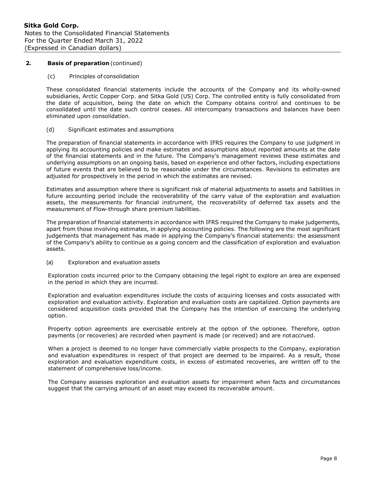## 2. **Basis of preparation** (continued)

#### (c) Principles of consolidation

These consolidated financial statements include the accounts of the Company and its wholly-owned subsidiaries, Arctic Copper Corp. and Sitka Gold (US) Corp. The controlled entity is fully consolidated from the date of acquisition, being the date on which the Company obtains control and continues to be consolidated until the date such control ceases. All intercompany transactions and balances have been eliminated upon consolidation.

#### (d) Significant estimates and assumptions

The preparation of financial statements in accordance with IFRS requires the Company to use judgment in applying its accounting policies and make estimates and assumptions about reported amounts at the date of the financial statements and in the future. The Company's management reviews these estimates and underlying assumptions on an ongoing basis, based on experience and other factors, including expectations of future events that are believed to be reasonable under the circumstances. Revisions to estimates are adjusted for prospectively in the period in which the estimates are revised.

Estimates and assumption where there is significant risk of material adjustments to assets and liabilities in future accounting period include the recoverability of the carry value of the exploration and evaluation assets, the measurements for financial instrument, the recoverability of deferred tax assets and the measurement of Flow-through share premium liabilities.

The preparation of financial statements in accordance with IFRS required the Company to make judgements, apart from those involving estimates, in applying accounting policies. The following are the most significant judgements that management has made in applying the Company's financial statements: the assessment of the Company's ability to continue as a going concern and the classification of exploration and evaluation assets.

## (a) Exploration and evaluation assets

Exploration costs incurred prior to the Company obtaining the legal right to explore an area are expensed in the period in which they are incurred.

Exploration and evaluation expenditures include the costs of acquiring licenses and costs associated with exploration and evaluation activity. Exploration and evaluation costs are capitalized. Option payments are considered acquisition costs provided that the Company has the intention of exercising the underlying option.

Property option agreements are exercisable entirely at the option of the optionee. Therefore, option payments (or recoveries) are recorded when payment is made (or received) and are not accrued.

When a project is deemed to no longer have commercially viable prospects to the Company, exploration and evaluation expenditures in respect of that project are deemed to be impaired. As a result, those exploration and evaluation expenditure costs, in excess of estimated recoveries, are written off to the statement of comprehensive loss/income.

The Company assesses exploration and evaluation assets for impairment when facts and circumstances suggest that the carrying amount of an asset may exceed its recoverable amount.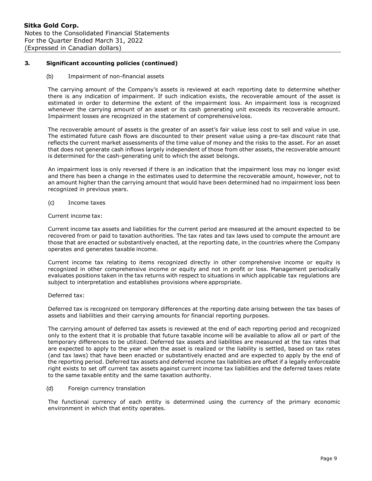#### (b) Impairment of non-financial assets

The carrying amount of the Company's assets is reviewed at each reporting date to determine whether there is any indication of impairment. If such indication exists, the recoverable amount of the asset is estimated in order to determine the extent of the impairment loss. An impairment loss is recognized whenever the carrying amount of an asset or its cash generating unit exceeds its recoverable amount. Impairment losses are recognized in the statement of comprehensive loss.

The recoverable amount of assets is the greater of an asset's fair value less cost to sell and value in use. The estimated future cash flows are discounted to their present value using a pre-tax discount rate that reflects the current market assessments of the time value of money and the risks to the asset. For an asset that does not generate cash inflows largely independent of those from other assets, the recoverable amount is determined for the cash-generating unit to which the asset belongs.

An impairment loss is only reversed if there is an indication that the impairment loss may no longer exist and there has been a change in the estimates used to determine the recoverable amount, however, not to an amount higher than the carrying amount that would have been determined had no impairment loss been recognized in previous years.

(c) Income taxes

#### Current income tax:

Current income tax assets and liabilities for the current period are measured at the amount expected to be recovered from or paid to taxation authorities. The tax rates and tax laws used to compute the amount are those that are enacted or substantively enacted, at the reporting date, in the countries where the Company operates and generates taxable income.

Current income tax relating to items recognized directly in other comprehensive income or equity is recognized in other comprehensive income or equity and not in profit or loss. Management periodically evaluates positions taken in the tax returns with respect to situations in which applicable tax regulations are subject to interpretation and establishes provisions where appropriate.

#### Deferred tax:

Deferred tax is recognized on temporary differences at the reporting date arising between the tax bases of assets and liabilities and their carrying amounts for financial reporting purposes.

The carrying amount of deferred tax assets is reviewed at the end of each reporting period and recognized only to the extent that it is probable that future taxable income will be available to allow all or part of the temporary differences to be utilized. Deferred tax assets and liabilities are measured at the tax rates that are expected to apply to the year when the asset is realized or the liability is settled, based on tax rates (and tax laws) that have been enacted or substantively enacted and are expected to apply by the end of the reporting period. Deferred tax assets and deferred income tax liabilities are offset if a legally enforceable right exists to set off current tax assets against current income tax liabilities and the deferred taxes relate to the same taxable entity and the same taxation authority.

#### (d) Foreign currency translation

The functional currency of each entity is determined using the currency of the primary economic environment in which that entity operates.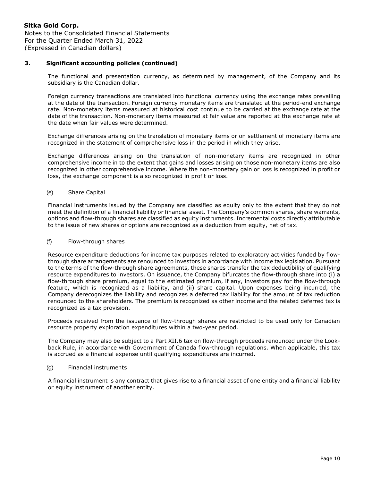The functional and presentation currency, as determined by management, of the Company and its subsidiary is the Canadian dollar.

Foreign currency transactions are translated into functional currency using the exchange rates prevailing at the date of the transaction. Foreign currency monetary items are translated at the period-end exchange rate. Non-monetary items measured at historical cost continue to be carried at the exchange rate at the date of the transaction. Non-monetary items measured at fair value are reported at the exchange rate at the date when fair values were determined.

Exchange differences arising on the translation of monetary items or on settlement of monetary items are recognized in the statement of comprehensive loss in the period in which they arise.

Exchange differences arising on the translation of non-monetary items are recognized in other comprehensive income in to the extent that gains and losses arising on those non-monetary items are also recognized in other comprehensive income. Where the non-monetary gain or loss is recognized in profit or loss, the exchange component is also recognized in profit or loss.

#### (e) Share Capital

Financial instruments issued by the Company are classified as equity only to the extent that they do not meet the definition of a financial liability or financial asset. The Company's common shares, share warrants, options and flow-through shares are classified as equity instruments. Incremental costs directly attributable to the issue of new shares or options are recognized as a deduction from equity, net of tax.

#### (f) Flow-through shares

Resource expenditure deductions for income tax purposes related to exploratory activities funded by flowthrough share arrangements are renounced to investors in accordance with income tax legislation. Pursuant to the terms of the flow-through share agreements, these shares transfer the tax deductibility of qualifying resource expenditures to investors. On issuance, the Company bifurcates the flow-through share into (i) a flow-through share premium, equal to the estimated premium, if any, investors pay for the flow-through feature, which is recognized as a liability, and (ii) share capital. Upon expenses being incurred, the Company derecognizes the liability and recognizes a deferred tax liability for the amount of tax reduction renounced to the shareholders. The premium is recognized as other income and the related deferred tax is recognized as a tax provision.

Proceeds received from the issuance of flow-through shares are restricted to be used only for Canadian resource property exploration expenditures within a two-year period.

The Company may also be subject to a Part XII.6 tax on flow-through proceeds renounced under the Lookback Rule, in accordance with Government of Canada flow-through regulations. When applicable, this tax is accrued as a financial expense until qualifying expenditures are incurred.

### (g) Financial instruments

A financial instrument is any contract that gives rise to a financial asset of one entity and a financial liability or equity instrument of another entity.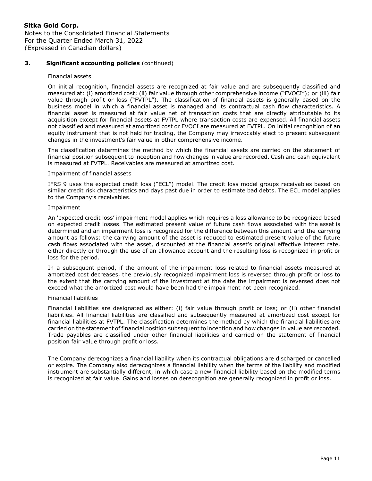### Financial assets

On initial recognition, financial assets are recognized at fair value and are subsequently classified and measured at: (i) amortized cost; (ii) fair value through other comprehensive income ("FVOCI"); or (iii) fair value through profit or loss ("FVTPL"). The classification of financial assets is generally based on the business model in which a financial asset is managed and its contractual cash flow characteristics. A financial asset is measured at fair value net of transaction costs that are directly attributable to its acquisition except for financial assets at FVTPL where transaction costs are expensed. All financial assets not classified and measured at amortized cost or FVOCI are measured at FVTPL. On initial recognition of an equity instrument that is not held for trading, the Company may irrevocably elect to present subsequent changes in the investment's fair value in other comprehensive income.

The classification determines the method by which the financial assets are carried on the statement of financial position subsequent to inception and how changes in value are recorded. Cash and cash equivalent is measured at FVTPL. Receivables are measured at amortized cost.

#### Impairment of financial assets

IFRS 9 uses the expected credit loss ("ECL") model. The credit loss model groups receivables based on similar credit risk characteristics and days past due in order to estimate bad debts. The ECL model applies to the Company's receivables.

#### Impairment

An 'expected credit loss' impairment model applies which requires a loss allowance to be recognized based on expected credit losses. The estimated present value of future cash flows associated with the asset is determined and an impairment loss is recognized for the difference between this amount and the carrying amount as follows: the carrying amount of the asset is reduced to estimated present value of the future cash flows associated with the asset, discounted at the financial asset's original effective interest rate, either directly or through the use of an allowance account and the resulting loss is recognized in profit or loss for the period.

In a subsequent period, if the amount of the impairment loss related to financial assets measured at amortized cost decreases, the previously recognized impairment loss is reversed through profit or loss to the extent that the carrying amount of the investment at the date the impairment is reversed does not exceed what the amortized cost would have been had the impairment not been recognized.

#### Financial liabilities

Financial liabilities are designated as either: (i) fair value through profit or loss; or (ii) other financial liabilities. All financial liabilities are classified and subsequently measured at amortized cost except for financial liabilities at FVTPL. The classification determines the method by which the financial liabilities are carried on the statement of financial position subsequent to inception and how changes in value are recorded. Trade payables are classified under other financial liabilities and carried on the statement of financial position fair value through profit or loss.

The Company derecognizes a financial liability when its contractual obligations are discharged or cancelled or expire. The Company also derecognizes a financial liability when the terms of the liability and modified instrument are substantially different, in which case a new financial liability based on the modified terms is recognized at fair value. Gains and losses on derecognition are generally recognized in profit or loss.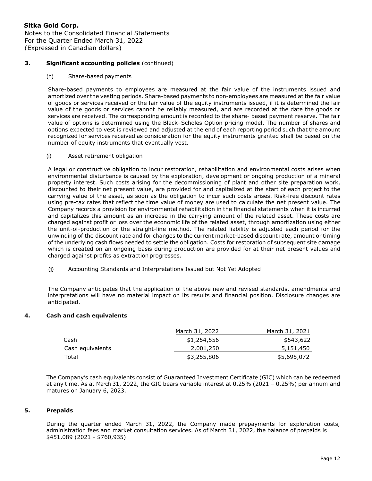### (h) Share-based payments

Share-based payments to employees are measured at the fair value of the instruments issued and amortized over the vesting periods. Share-based payments to non-employees are measured at the fair value of goods or services received or the fair value of the equity instruments issued, if it is determined the fair value of the goods or services cannot be reliably measured, and are recorded at the date the goods or services are received. The corresponding amount is recorded to the share- based payment reserve. The fair value of options is determined using the Black–Scholes Option pricing model. The number of shares and options expected to vest is reviewed and adjusted at the end of each reporting period such that the amount recognized for services received as consideration for the equity instruments granted shall be based on the number of equity instruments that eventually vest.

#### (i) Asset retirement obligation

A legal or constructive obligation to incur restoration, rehabilitation and environmental costs arises when environmental disturbance is caused by the exploration, development or ongoing production of a mineral property interest. Such costs arising for the decommissioning of plant and other site preparation work, discounted to their net present value, are provided for and capitalized at the start of each project to the carrying value of the asset, as soon as the obligation to incur such costs arises. Risk-free discount rates using pre-tax rates that reflect the time value of money are used to calculate the net present value. The Company records a provision for environmental rehabilitation in the financial statements when it is incurred and capitalizes this amount as an increase in the carrying amount of the related asset. These costs are charged against profit or loss over the economic life of the related asset, through amortization using either the unit-of-production or the straight-line method. The related liability is adjusted each period for the unwinding of the discount rate and for changes to the current market-based discount rate, amount or timing of the underlying cash flows needed to settle the obligation. Costs for restoration of subsequent site damage which is created on an ongoing basis during production are provided for at their net present values and charged against profits as extraction progresses.

(j) Accounting Standards and Interpretations Issued but Not Yet Adopted

The Company anticipates that the application of the above new and revised standards, amendments and interpretations will have no material impact on its results and financial position. Disclosure changes are anticipated.

## 4. Cash and cash equivalents

|                  | March 31, 2022 | March 31, 2021 |
|------------------|----------------|----------------|
| Cash             | \$1,254,556    | \$543,622      |
| Cash equivalents | 2,001,250      | 5,151,450      |
| Total            | \$3,255,806    | \$5,695,072    |

The Company's cash equivalents consist of Guaranteed Investment Certificate (GIC) which can be redeemed at any time. As at March 31, 2022, the GIC bears variable interest at 0.25% (2021 – 0.25%) per annum and matures on January 6, 2023.

## 5. Prepaids

During the quarter ended March 31, 2022, the Company made prepayments for exploration costs, administration fees and market consultation services. As of March 31, 2022, the balance of prepaids is \$451,089 (2021 - \$760,935)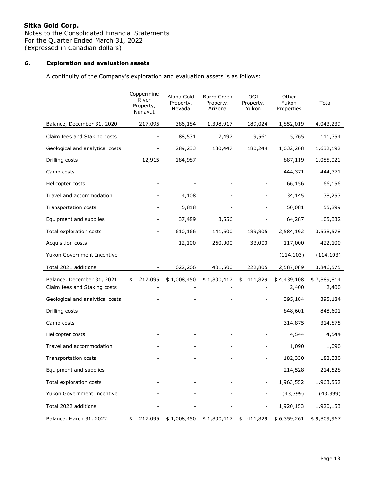## Sitka Gold Corp. Notes to the Consolidated Financial Statements For the Quarter Ended March 31, 2022 (Expressed in Canadian dollars)

## 6. Exploration and evaluation assets

A continuity of the Company's exploration and evaluation assets is as follows:

|                                 | Coppermine<br>River<br>Property,<br>Nunavut | Alpha Gold<br>Property,<br>Nevada | <b>Burro Creek</b><br>Property,<br>Arizona | OGI<br>Property,<br>Yukon | Other<br>Yukon<br>Properties | Total       |
|---------------------------------|---------------------------------------------|-----------------------------------|--------------------------------------------|---------------------------|------------------------------|-------------|
| Balance, December 31, 2020      | 217,095                                     | 386,184                           | 1,398,917                                  | 189,024                   | 1,852,019                    | 4,043,239   |
| Claim fees and Staking costs    |                                             | 88,531                            | 7,497                                      | 9,561                     | 5,765                        | 111,354     |
| Geological and analytical costs |                                             | 289,233                           | 130,447                                    | 180,244                   | 1,032,268                    | 1,632,192   |
| Drilling costs                  | 12,915                                      | 184,987                           |                                            | $\overline{\phantom{a}}$  | 887,119                      | 1,085,021   |
| Camp costs                      |                                             |                                   |                                            |                           | 444,371                      | 444,371     |
| Helicopter costs                |                                             |                                   |                                            |                           | 66,156                       | 66,156      |
| Travel and accommodation        |                                             | 4,108                             |                                            |                           | 34,145                       | 38,253      |
| Transportation costs            |                                             | 5,818                             |                                            |                           | 50,081                       | 55,899      |
| Equipment and supplies          |                                             | 37,489                            | 3,556                                      |                           | 64,287                       | 105,332     |
| Total exploration costs         |                                             | 610,166                           | 141,500                                    | 189,805                   | 2,584,192                    | 3,538,578   |
| Acquisition costs               |                                             | 12,100                            | 260,000                                    | 33,000                    | 117,000                      | 422,100     |
| Yukon Government Incentive      |                                             |                                   |                                            |                           | (114, 103)                   | (114, 103)  |
| Total 2021 additions            |                                             | 622,266                           | 401,500                                    | 222,805                   | 2,587,089                    | 3,846,575   |
| Balance, December 31, 2021      | 217,095<br>\$                               | \$1,008,450                       | \$1,800,417                                | 411,829<br>\$             | \$4,439,108                  | \$7,889,814 |
| Claim fees and Staking costs    |                                             |                                   |                                            |                           | 2,400                        | 2,400       |
| Geological and analytical costs |                                             |                                   |                                            |                           | 395,184                      | 395,184     |
| Drilling costs                  |                                             |                                   |                                            |                           | 848,601                      | 848,601     |
| Camp costs                      |                                             |                                   |                                            |                           | 314,875                      | 314,875     |
| Helicopter costs                |                                             |                                   |                                            |                           | 4,544                        | 4,544       |
| Travel and accommodation        |                                             |                                   |                                            |                           | 1,090                        | 1,090       |
| Transportation costs            |                                             |                                   |                                            |                           | 182,330                      | 182,330     |
| Equipment and supplies          |                                             |                                   |                                            |                           | 214,528                      | 214,528     |
| Total exploration costs         |                                             |                                   |                                            |                           | 1,963,552                    | 1,963,552   |
| Yukon Government Incentive      |                                             |                                   |                                            |                           | (43, 399)                    | (43, 399)   |
| Total 2022 additions            |                                             |                                   |                                            |                           | 1,920,153                    | 1,920,153   |
| Balance, March 31, 2022         | \$<br>217,095                               | \$1,008,450                       | \$1,800,417                                | 411,829<br>\$             | \$6,359,261                  | \$9,809,967 |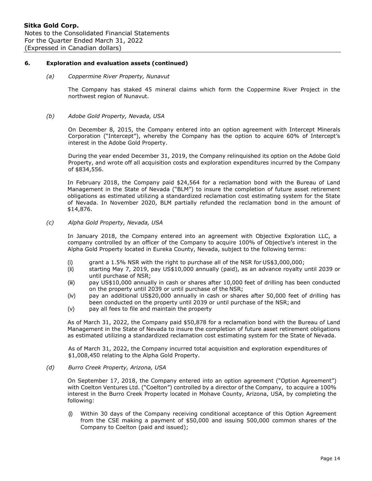#### (a) Coppermine River Property, Nunavut

The Company has staked 45 mineral claims which form the Coppermine River Project in the northwest region of Nunavut.

#### (b) Adobe Gold Property, Nevada, USA

On December 8, 2015, the Company entered into an option agreement with Intercept Minerals Corporation ("Intercept"), whereby the Company has the option to acquire 60% of Intercept's interest in the Adobe Gold Property.

During the year ended December 31, 2019, the Company relinquished its option on the Adobe Gold Property, and wrote off all acquisition costs and exploration expenditures incurred by the Company of \$834,556.

In February 2018, the Company paid \$24,564 for a reclamation bond with the Bureau of Land Management in the State of Nevada ("BLM") to insure the completion of future asset retirement obligations as estimated utilizing a standardized reclamation cost estimating system for the State of Nevada. In November 2020, BLM partially refunded the reclamation bond in the amount of \$14,876.

#### (c) Alpha Gold Property, Nevada, USA

In January 2018, the Company entered into an agreement with Objective Exploration LLC, a company controlled by an officer of the Company to acquire 100% of Objective's interest in the Alpha Gold Property located in Eureka County, Nevada, subject to the following terms:

- (i) grant a  $1.5\%$  NSR with the right to purchase all of the NSR for US\$3,000,000;
- (ii) starting May 7, 2019, pay US\$10,000 annually (paid), as an advance royalty until 2039 or until purchase of NSR;
- (iii) pay US\$10,000 annually in cash or shares after 10,000 feet of drilling has been conducted on the property until 2039 or until purchase of the NSR;
- (iv) pay an additional US\$20,000 annually in cash or shares after 50,000 feet of drilling has been conducted on the property until 2039 or until purchase of the NSR; and
- (v) pay all fees to file and maintain the property

As of March 31, 2022, the Company paid \$50,878 for a reclamation bond with the Bureau of Land Management in the State of Nevada to insure the completion of future asset retirement obligations as estimated utilizing a standardized reclamation cost estimating system for the State of Nevada.

As of March 31, 2022, the Company incurred total acquisition and exploration expenditures of \$1,008,450 relating to the Alpha Gold Property.

## (d) Burro Creek Property, Arizona, USA

On September 17, 2018, the Company entered into an option agreement ("Option Agreement") with Coelton Ventures Ltd. ("Coelton") controlled by a director of the Company, to acquire a 100% interest in the Burro Creek Property located in Mohave County, Arizona, USA, by completing the following:

(i) Within 30 days of the Company receiving conditional acceptance of this Option Agreement from the CSE making a payment of \$50,000 and issuing 500,000 common shares of the Company to Coelton (paid and issued);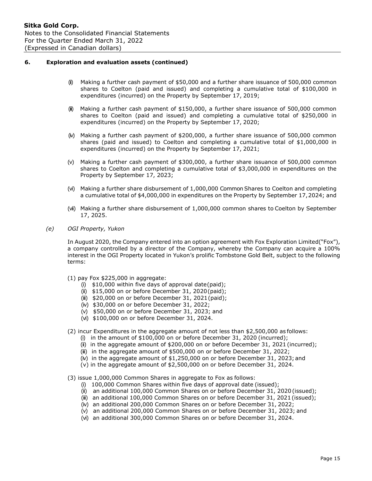- (ii) Making a further cash payment of \$50,000 and a further share issuance of 500,000 common shares to Coelton (paid and issued) and completing a cumulative total of \$100,000 in expenditures (incurred) on the Property by September 17, 2019;
- $(i)$  Making a further cash payment of \$150,000, a further share issuance of 500,000 common shares to Coelton (paid and issued) and completing a cumulative total of \$250,000 in expenditures (incurred) on the Property by September 17, 2020;
- (iv) Making a further cash payment of \$200,000, a further share issuance of 500,000 common shares (paid and issued) to Coelton and completing a cumulative total of \$1,000,000 in expenditures (incurred) on the Property by September 17, 2021;
- (v) Making a further cash payment of \$300,000, a further share issuance of 500,000 common shares to Coelton and completing a cumulative total of \$3,000,000 in expenditures on the Property by September 17, 2023;
- (vi) Making a further share disbursement of 1,000,000 Common Shares to Coelton and completing a cumulative total of \$4,000,000 in expenditures on the Property by September 17, 2024; and
- (vii) Making a further share disbursement of 1,000,000 common shares to Coelton by September 17, 2025.
- (e) OGI Property, Yukon

In August 2020, the Company entered into an option agreement with Fox Exploration Limited("Fox"), a company controlled by a director of the Company, whereby the Company can acquire a 100% interest in the OGI Property located in Yukon's prolific Tombstone Gold Belt, subject to the following terms:

- (1) pay Fox \$225,000 in aggregate:
	- (i)  $$10,000$  within five days of approval date (paid);
	- (ii) \$15,000 on or before December 31, 2020 (paid);
	- (iii) \$20,000 on or before December 31, 2021 (paid);
	- (iv) \$30,000 on or before December 31, 2022;
	- (v) \$50,000 on or before December 31, 2023; and
	- (vi) \$100,000 on or before December 31, 2024.
- (2) incur Expenditures in the aggregate amount of not less than \$2,500,000 as follows:
	- (i) in the amount of  $$100,000$  on or before December 31, 2020 (incurred);
	- (ii) in the aggregate amount of  $$200,000$  on or before December 31, 2021 (incurred);
	- (iii) in the aggregate amount of \$500,000 on or before December 31, 2022;
	- (iv) in the aggregate amount of  $$1,250,000$  on or before December 31, 2023; and
	- (v) in the aggregate amount of \$2,500,000 on or before December 31, 2024.
- (3) issue 1,000,000 Common Shares in aggregate to Fox as follows:
	- (i) 100,000 Common Shares within five days of approval date (issued);
	- (ii) an additional 100,000 Common Shares on or before December 31, 2020 (issued);
	- (iii) an additional 100,000 Common Shares on or before December 31, 2021 (issued);
	- (iv) an additional 200,000 Common Shares on or before December 31, 2022;
	- (v) an additional 200,000 Common Shares on or before December 31, 2023; and
	- (vi) an additional 300,000 Common Shares on or before December 31, 2024.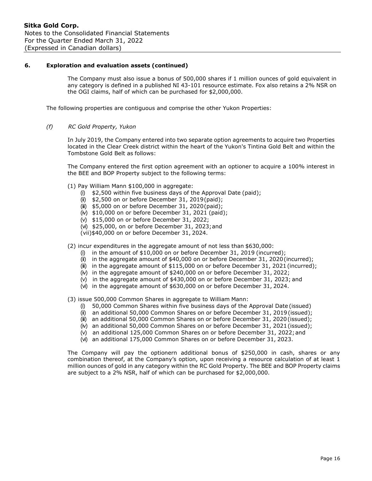The Company must also issue a bonus of 500,000 shares if 1 million ounces of gold equivalent in any category is defined in a published NI 43-101 resource estimate. Fox also retains a 2% NSR on the OGI claims, half of which can be purchased for \$2,000,000.

The following properties are contiguous and comprise the other Yukon Properties:

(f) RC Gold Property, Yukon

In July 2019, the Company entered into two separate option agreements to acquire two Properties located in the Clear Creek district within the heart of the Yukon's Tintina Gold Belt and within the Tombstone Gold Belt as follows:

The Company entered the first option agreement with an optioner to acquire a 100% interest in the BEE and BOP Property subject to the following terms:

- (1) Pay William Mann \$100,000 in aggregate:
	- (i)  $$2,500$  within five business days of the Approval Date (paid);
	- (ii)  $$2,500$  on or before December 31, 2019(paid);
	- (iii) \$5,000 on or before December 31, 2020 (paid);
	- (iv) \$10,000 on or before December 31, 2021 (paid);
	- (v) \$15,000 on or before December 31, 2022;
	- (vi) \$25,000, on or before December 31, 2023; and
	- (vii)\$40,000 on or before December 31, 2024.

(2) incur expenditures in the aggregate amount of not less than \$630,000:

- (i) in the amount of  $$10,000$  on or before December 31, 2019 (incurred);
- (ii) in the aggregate amount of  $$40,000$  on or before December 31, 2020 (incurred);
- (iii) in the aggregate amount of  $$115,000$  on or before December 31, 2021 (incurred);
- (iv) in the aggregate amount of \$240,000 on or before December 31, 2022;
- (v) in the aggregate amount of \$430,000 on or before December 31, 2023; and
- (vi) in the aggregate amount of \$630,000 on or before December 31, 2024.

(3) issue 500,000 Common Shares in aggregate to William Mann:

- (i) 50,000 Common Shares within five business days of the Approval Date (issued)
- (ii) an additional 50,000 Common Shares on or before December 31, 2019 (issued);
- (iii) an additional 50,000 Common Shares on or before December 31, 2020 (issued);
- (iv) an additional 50,000 Common Shares on or before December 31, 2021 (issued);
- (v) an additional 125,000 Common Shares on or before December 31, 2022; and
- (vi) an additional 175,000 Common Shares on or before December 31, 2023.

The Company will pay the optionern additional bonus of \$250,000 in cash, shares or any combination thereof, at the Company's option, upon receiving a resource calculation of at least 1 million ounces of gold in any category within the RC Gold Property. The BEE and BOP Property claims are subject to a 2% NSR, half of which can be purchased for \$2,000,000.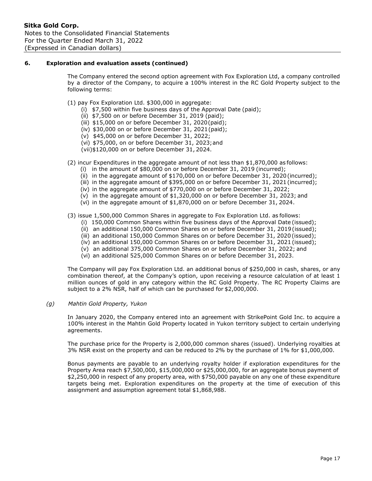The Company entered the second option agreement with Fox Exploration Ltd, a company controlled by a director of the Company, to acquire a 100% interest in the RC Gold Property subject to the following terms:

- (1) pay Fox Exploration Ltd. \$300,000 in aggregate:
	- (i) \$7,500 within five business days of the Approval Date (paid);
	- (ii) \$7,500 on or before December 31, 2019 (paid);
	- (iii) \$15,000 on or before December 31, 2020 (paid);
	- (iv) \$30,000 on or before December 31, 2021 (paid);
	- (v) \$45,000 on or before December 31, 2022;
	- (vi) \$75,000, on or before December 31, 2023; and
	- (vii)\$120,000 on or before December 31, 2024.
- (2) incur Expenditures in the aggregate amount of not less than \$1,870,000 as follows:
	- (i) in the amount of  $$80,000$  on or before December 31, 2019 (incurred);
	- (ii) in the aggregate amount of \$170,000 on or before December 31, 2020 (incurred);
	- (iii) in the aggregate amount of \$395,000 on or before December 31, 2021 (incurred);
	- (iv) in the aggregate amount of \$770,000 on or before December 31, 2022;
	- (v) in the aggregate amount of \$1,320,000 on or before December 31, 2023; and
	- (vi) in the aggregate amount of \$1,870,000 on or before December 31, 2024.

(3) issue 1,500,000 Common Shares in aggregate to Fox Exploration Ltd. as follows:

- (i) 150,000 Common Shares within five business days of the Approval Date (issued);
- (ii) an additional 150,000 Common Shares on or before December 31, 2019 (issued);
- (iii) an additional 150,000 Common Shares on or before December 31, 2020 (issued);
- (iv) an additional 150,000 Common Shares on or before December 31, 2021 (issued);
- (v) an additional 375,000 Common Shares on or before December 31, 2022; and
- (vi) an additional 525,000 Common Shares on or before December 31, 2023.

The Company will pay Fox Exploration Ltd. an additional bonus of \$250,000 in cash, shares, or any combination thereof, at the Company's option, upon receiving a resource calculation of at least 1 million ounces of gold in any category within the RC Gold Property. The RC Property Claims are subject to a 2% NSR, half of which can be purchased for \$2,000,000.

#### (g) Mahtin Gold Property, Yukon

In January 2020, the Company entered into an agreement with StrikePoint Gold Inc. to acquire a 100% interest in the Mahtin Gold Property located in Yukon territory subject to certain underlying agreements.

The purchase price for the Property is 2,000,000 common shares (issued). Underlying royalties at 3% NSR exist on the property and can be reduced to 2% by the purchase of 1% for \$1,000,000.

Bonus payments are payable to an underlying royalty holder if exploration expenditures for the Property Area reach \$7,500,000, \$15,000,000 or \$25,000,000, for an aggregate bonus payment of \$2,250,000 in respect of any property area, with \$750,000 payable on any one of these expenditure targets being met. Exploration expenditures on the property at the time of execution of this assignment and assumption agreement total \$1,868,988.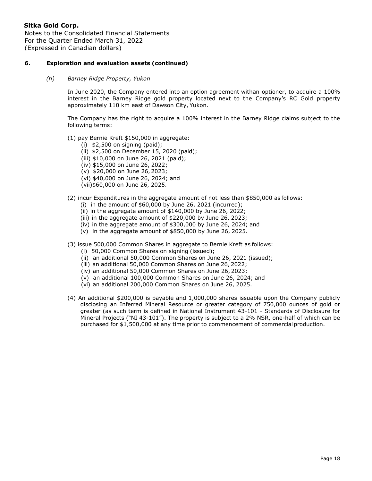#### (h) Barney Ridge Property, Yukon

In June 2020, the Company entered into an option agreement withan optioner, to acquire a 100% interest in the Barney Ridge gold property located next to the Company's RC Gold property approximately 110 km east of Dawson City, Yukon.

The Company has the right to acquire a 100% interest in the Barney Ridge claims subject to the following terms:

### (1) pay Bernie Kreft \$150,000 in aggregate:

- (i) \$2,500 on signing (paid);
- (ii) \$2,500 on December 15, 2020 (paid);
- (iii) \$10,000 on June 26, 2021 (paid);
- (iv) \$15,000 on June 26, 2022;
- (v) \$20,000 on June 26, 2023;
- (vi) \$40,000 on June 26, 2024; and
- (vii)\$60,000 on June 26, 2025.
- (2) incur Expenditures in the aggregate amount of not less than \$850,000 as follows:
	- (i) in the amount of  $$60,000$  by June 26, 2021 (incurred);
	- (ii) in the aggregate amount of \$140,000 by June 26, 2022;
	- (iii) in the aggregate amount of \$220,000 by June 26, 2023;
	- (iv) in the aggregate amount of \$300,000 by June 26, 2024; and
	- (v) in the aggregate amount of \$850,000 by June 26, 2025.
- (3) issue 500,000 Common Shares in aggregate to Bernie Kreft as follows:
	- (i) 50,000 Common Shares on signing (issued);
	- (ii) an additional 50,000 Common Shares on June 26, 2021 (issued);
	- (iii) an additional 50,000 Common Shares on June 26, 2022;
	- (iv) an additional 50,000 Common Shares on June 26, 2023;
	- (v) an additional 100,000 Common Shares on June 26, 2024; and
	- (vi) an additional 200,000 Common Shares on June 26, 2025.
- (4) An additional \$200,000 is payable and 1,000,000 shares issuable upon the Company publicly disclosing an Inferred Mineral Resource or greater category of 750,000 ounces of gold or greater (as such term is defined in National Instrument 43-101 - Standards of Disclosure for Mineral Projects ("NI 43-101"). The property is subject to a 2% NSR, one-half of which can be purchased for \$1,500,000 at any time prior to commencement of commercial production.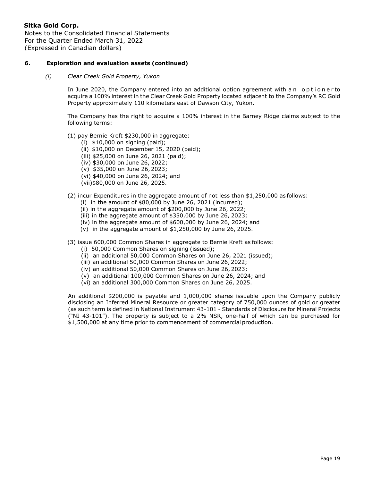(i) Clear Creek Gold Property, Yukon

In June 2020, the Company entered into an additional option agreement with an optioner to acquire a 100% interest in the Clear Creek Gold Property located adjacent to the Company's RC Gold Property approximately 110 kilometers east of Dawson City, Yukon.

The Company has the right to acquire a 100% interest in the Barney Ridge claims subject to the following terms:

- (1) pay Bernie Kreft \$230,000 in aggregate:
	- (i) \$10,000 on signing (paid);
	- (ii) \$10,000 on December 15, 2020 (paid);
	- (iii) \$25,000 on June 26, 2021 (paid);
	- (iv) \$30,000 on June 26, 2022;
	- (v) \$35,000 on June 26, 2023;
	- (vi) \$40,000 on June 26, 2024; and
	- (vii)\$80,000 on June 26, 2025.
- (2) incur Expenditures in the aggregate amount of not less than \$1,250,000 as follows:
	- (i) in the amount of  $$80,000$  by June 26, 2021 (incurred);
	- (ii) in the aggregate amount of \$200,000 by June 26, 2022;
	- (iii) in the aggregate amount of \$350,000 by June 26, 2023;
	- (iv) in the aggregate amount of \$600,000 by June 26, 2024; and
	- (v) in the aggregate amount of \$1,250,000 by June 26, 2025.

(3) issue 600,000 Common Shares in aggregate to Bernie Kreft as follows:

- (i) 50,000 Common Shares on signing (issued);
- (ii) an additional 50,000 Common Shares on June 26, 2021 (issued);
- (iii) an additional 50,000 Common Shares on June 26, 2022;
- (iv) an additional 50,000 Common Shares on June 26, 2023;
- (v) an additional 100,000 Common Shares on June 26, 2024; and
- (vi) an additional 300,000 Common Shares on June 26, 2025.

An additional \$200,000 is payable and 1,000,000 shares issuable upon the Company publicly disclosing an Inferred Mineral Resource or greater category of 750,000 ounces of gold or greater (as such term is defined in National Instrument 43-101 - Standards of Disclosure for Mineral Projects ("NI 43-101"). The property is subject to a 2% NSR, one-half of which can be purchased for \$1,500,000 at any time prior to commencement of commercial production.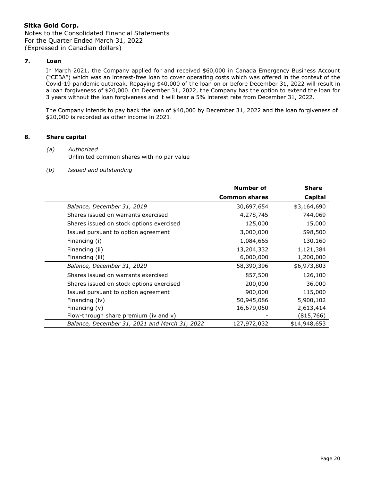# 7. Loan

In March 2021, the Company applied for and received \$60,000 in Canada Emergency Business Account ("CEBA") which was an interest-free loan to cover operating costs which was offered in the context of the Covid-19 pandemic outbreak. Repaying \$40,000 of the loan on or before December 31, 2022 will result in a loan forgiveness of \$20,000. On December 31, 2022, the Company has the option to extend the loan for 3 years without the loan forgiveness and it will bear a 5% interest rate from December 31, 2022.

The Company intends to pay back the loan of \$40,000 by December 31, 2022 and the loan forgiveness of \$20,000 is recorded as other income in 2021.

## 8. Share capital

- (a) Authorized Unlimited common shares with no par value
- (b) Issued and outstanding

|                                               | Number of            | <b>Share</b> |
|-----------------------------------------------|----------------------|--------------|
|                                               | <b>Common shares</b> | Capital      |
| Balance, December 31, 2019                    | 30,697,654           | \$3,164,690  |
| Shares issued on warrants exercised           | 4,278,745            | 744,069      |
| Shares issued on stock options exercised      | 125,000              | 15,000       |
| Issued pursuant to option agreement           | 3,000,000            | 598,500      |
| Financing (i)                                 | 1,084,665            | 130,160      |
| Financing (ii)                                | 13,204,332           | 1,121,384    |
| Financing (iii)                               | 6,000,000            | 1,200,000    |
| Balance, December 31, 2020                    | 58,390,396           | \$6,973,803  |
| Shares issued on warrants exercised           | 857,500              | 126,100      |
| Shares issued on stock options exercised      | 200,000              | 36,000       |
| Issued pursuant to option agreement           | 900,000              | 115,000      |
| Financing (iv)                                | 50,945,086           | 5,900,102    |
| Financing $(v)$                               | 16,679,050           | 2,613,414    |
| Flow-through share premium (iv and v)         |                      | (815,766)    |
| Balance, December 31, 2021 and March 31, 2022 | 127,972,032          | \$14,948,653 |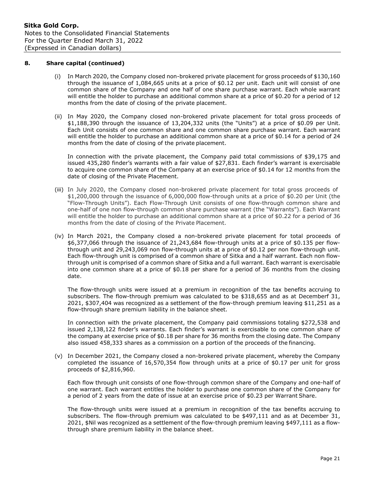## 8. Share capital (continued)

- (i) In March 2020, the Company closed non-brokered private placement for gross proceeds of \$130,160 through the issuance of 1,084,665 units at a price of \$0.12 per unit. Each unit will consist of one common share of the Company and one half of one share purchase warrant. Each whole warrant will entitle the holder to purchase an additional common share at a price of \$0.20 for a period of 12 months from the date of closing of the private placement.
- (ii) In May 2020, the Company closed non-brokered private placement for total gross proceeds of \$1,188,390 through the issuance of 13,204,332 units (the "Units") at a price of \$0.09 per Unit. Each Unit consists of one common share and one common share purchase warrant. Each warrant will entitle the holder to purchase an additional common share at a price of \$0.14 for a period of 24 months from the date of closing of the private placement.

In connection with the private placement, the Company paid total commissions of \$39,175 and issued 435,280 finder's warrants with a fair value of \$27,831. Each finder's warrant is exercisable to acquire one common share of the Company at an exercise price of \$0.14 for 12 months from the date of closing of the Private Placement.

- (iii) In July 2020, the Company closed non-brokered private placement for total gross proceeds of \$1,200,000 through the issuance of 6,000,000 flow-through units at a price of \$0.20 per Unit (the "Flow-Through Units"). Each Flow-Through Unit consists of one flow-through common share and one-half of one non flow-through common share purchase warrant (the "Warrants"). Each Warrant will entitle the holder to purchase an additional common share at a price of \$0.22 for a period of 36 months from the date of closing of the Private Placement.
- (iv) In March 2021, the Company closed a non-brokered private placement for total proceeds of \$6,377,066 through the issuance of 21,243,684 flow-through units at a price of \$0.135 per flowthrough unit and 29,243,069 non flow-through units at a price of \$0.12 per non flow-through unit. Each flow-through unit is comprised of a common share of Sitka and a half warrant. Each non flowthrough unit is comprised of a common share of Sitka and a full warrant. Each warrant is exercisable into one common share at a price of \$0.18 per share for a period of 36 months from the closing date.

The flow-through units were issued at a premium in recognition of the tax benefits accruing to subscribers. The flow-through premium was calculated to be \$318,655 and as at Decemberf 31, 2021, \$307,404 was recognized as a settlement of the flow-through premium leaving \$11,251 as a flow-through share premium liability in the balance sheet.

In connection with the private placement, the Company paid commissions totaling \$272,538 and issued 2,138,122 finder's warrants. Each finder's warrant is exercisable to one common share of the company at exercise price of \$0.18 per share for 36 months from the closing date. The Company also issued 458,333 shares as a commission on a portion of the proceeds of the financing.

(v) In December 2021, the Company closed a non-brokered private placement, whereby the Company completed the issuance of 16,570,354 flow through units at a price of \$0.17 per unit for gross proceeds of \$2,816,960.

Each flow through unit consists of one flow-through common share of the Company and one-half of one warrant. Each warrant entitles the holder to purchase one common share of the Company for a period of 2 years from the date of issue at an exercise price of \$0.23 per Warrant Share.

The flow-through units were issued at a premium in recognition of the tax benefits accruing to subscribers. The flow-through premium was calculated to be \$497,111 and as at December 31, 2021, \$Nil was recognized as a settlement of the flow-through premium leaving \$497,111 as a flowthrough share premium liability in the balance sheet.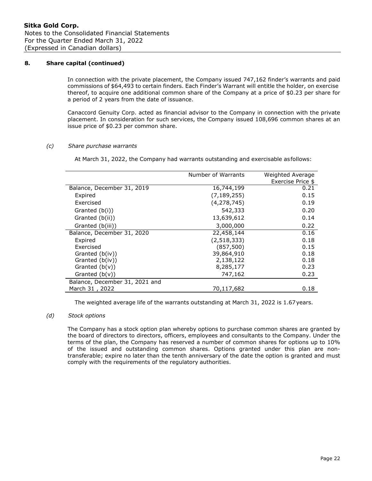## 8. Share capital (continued)

In connection with the private placement, the Company issued 747,162 finder's warrants and paid commissions of \$64,493 to certain finders. Each Finder's Warrant will entitle the holder, on exercise thereof, to acquire one additional common share of the Company at a price of \$0.23 per share for a period of 2 years from the date of issuance.

Canaccord Genuity Corp. acted as financial advisor to the Company in connection with the private placement. In consideration for such services, the Company issued 108,696 common shares at an issue price of \$0.23 per common share.

#### (c) Share purchase warrants

At March 31, 2022, the Company had warrants outstanding and exercisable as follows:

|                                | Number of Warrants | Weighted Average  |
|--------------------------------|--------------------|-------------------|
|                                |                    | Exercise Price \$ |
| Balance, December 31, 2019     | 16,744,199         | 0.21              |
| Expired                        | (7, 189, 255)      | 0.15              |
| Exercised                      | (4,278,745)        | 0.19              |
| Granted (b(i))                 | 542,333            | 0.20              |
| Granted (b(ii))                | 13,639,612         | 0.14              |
| Granted (b(iii))               | 3,000,000          | 0.22              |
| Balance, December 31, 2020     | 22,458,144         | 0.16              |
| Expired                        | (2, 518, 333)      | 0.18              |
| Exercised                      | (857, 500)         | 0.15              |
| Granted (b(iv))                | 39,864,910         | 0.18              |
| Granted (b(iv))                | 2,138,122          | 0.18              |
| Granted $(b(v))$               | 8,285,177          | 0.23              |
| Granted $(b(v))$               | 747,162            | 0.23              |
| Balance, December 31, 2021 and |                    |                   |
| March 31, 2022                 | 70,117,682         | 0.18              |

The weighted average life of the warrants outstanding at March 31, 2022 is 1.67 years.

#### (d) Stock options

The Company has a stock option plan whereby options to purchase common shares are granted by the board of directors to directors, officers, employees and consultants to the Company. Under the terms of the plan, the Company has reserved a number of common shares for options up to 10% of the issued and outstanding common shares. Options granted under this plan are nontransferable; expire no later than the tenth anniversary of the date the option is granted and must comply with the requirements of the regulatory authorities.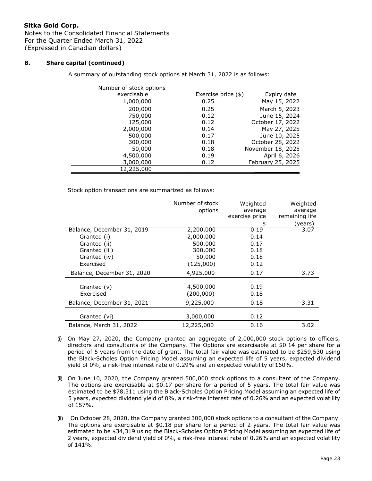## 8. Share capital (continued)

A summary of outstanding stock options at March 31, 2022 is as follows:

| Number of stock options |                      |                   |
|-------------------------|----------------------|-------------------|
| exercisable             | Exercise price $(*)$ | Expiry date       |
| 1,000,000               | 0.25                 | May 15, 2022      |
| 200,000                 | 0.25                 | March 5, 2023     |
| 750,000                 | 0.12                 | June 15, 2024     |
| 125,000                 | 0.12                 | October 17, 2022  |
| 2,000,000               | 0.14                 | May 27, 2025      |
| 500,000                 | 0.17                 | June 10, 2025     |
| 300,000                 | 0.18                 | October 28, 2022  |
| 50,000                  | 0.18                 | November 18, 2025 |
| 4,500,000               | 0.19                 | April 6, 2026     |
| 3,000,000               | 0.12                 | February 25, 2025 |
| 12,225,000              |                      |                   |

Stock option transactions are summarized as follows:

|                            | Number of stock | Weighted<br>average | Weighted<br>average |
|----------------------------|-----------------|---------------------|---------------------|
|                            | options         | exercise price      | remaining life      |
|                            |                 | \$                  | (years)             |
| Balance, December 31, 2019 | 2,200,000       | 0.19                | 3.07                |
| Granted (i)                | 2,000,000       | 0.14                |                     |
| Granted (ii)               | 500,000         | 0.17                |                     |
| Granted (iii)              | 300,000         | 0.18                |                     |
| Granted (iv)               | 50,000          | 0.18                |                     |
| Exercised                  | (125,000)       | 0.12                |                     |
| Balance, December 31, 2020 | 4,925,000       | 0.17                | 3.73                |
| Granted (v)                | 4,500,000       | 0.19                |                     |
| Exercised                  | (200,000)       | 0.18                |                     |
| Balance, December 31, 2021 | 9,225,000       | 0.18                | 3.31                |
| Granted (vi)               | 3,000,000       | 0.12                |                     |
| Balance, March 31, 2022    | 12,225,000      | 0.16                | 3.02                |

- (i) On May 27, 2020, the Company granted an aggregate of 2,000,000 stock options to officers, directors and consultants of the Company. The Options are exercisable at \$0.14 per share for a period of 5 years from the date of grant. The total fair value was estimated to be \$259,530 using the Black-Scholes Option Pricing Model assuming an expected life of 5 years, expected dividend yield of 0%, a risk-free interest rate of 0.29% and an expected volatility of 160%.
- (ii) On June 10, 2020, the Company granted 500,000 stock options to a consultant of the Company. The options are exercisable at  $$0.17$  per share for a period of 5 years. The total fair value was estimated to be \$78,311 using the Black-Scholes Option Pricing Model assuming an expected life of 5 years, expected dividend yield of 0%, a risk-free interest rate of 0.26% and an expected volatility of 157%.
- (iii) On October 28, 2020, the Company granted 300,000 stock options to a consultant of the Company. The options are exercisable at \$0.18 per share for a period of 2 years. The total fair value was estimated to be \$34,319 using the Black-Scholes Option Pricing Model assuming an expected life of 2 years, expected dividend yield of 0%, a risk-free interest rate of 0.26% and an expected volatility of 141%.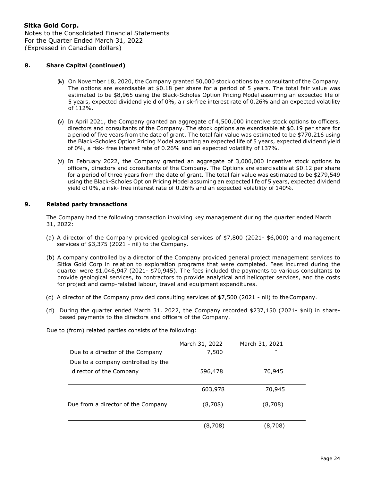## 8. Share Capital (continued)

- (iv) On November 18, 2020, the Company granted 50,000 stock options to a consultant of the Company. The options are exercisable at \$0.18 per share for a period of 5 years. The total fair value was estimated to be \$8,965 using the Black-Scholes Option Pricing Model assuming an expected life of 5 years, expected dividend yield of 0%, a risk-free interest rate of 0.26% and an expected volatility of 112%.
- (v) In April 2021, the Company granted an aggregate of 4,500,000 incentive stock options to officers, directors and consultants of the Company. The stock options are exercisable at \$0.19 per share for a period of five years from the date of grant. The total fair value was estimated to be \$770,216 using the Black-Scholes Option Pricing Model assuming an expected life of 5 years, expected dividend yield of 0%, a risk- free interest rate of 0.26% and an expected volatility of 137%.
- (vi) In February 2022, the Company granted an aggregate of 3,000,000 incentive stock options to officers, directors and consultants of the Company. The Options are exercisable at \$0.12 per share for a period of three years from the date of grant. The total fair value was estimated to be \$279,549 using the Black-Scholes Option Pricing Model assuming an expected life of 5 years, expected dividend yield of 0%, a risk- free interest rate of 0.26% and an expected volatility of 140%.

## 9. Related party transactions

The Company had the following transaction involving key management during the quarter ended March 31, 2022:

- (a) A director of the Company provided geological services of \$7,800 (2021- \$6,000) and management services of \$3,375 (2021 - nil) to the Company.
- (b) A company controlled by a director of the Company provided general project management services to Sitka Gold Corp in relation to exploration programs that were completed. Fees incurred during the quarter were \$1,046,947 (2021- \$70,945). The fees included the payments to various consultants to provide geological services, to contractors to provide analytical and helicopter services, and the costs for project and camp-related labour, travel and equipment expenditures.
- (c) A director of the Company provided consulting services of \$7,500 (2021 nil) to the Company.
- (d) During the quarter ended March 31, 2022, the Company recorded \$237,150 (2021- \$nil) in sharebased payments to the directors and officers of the Company.

Due to (from) related parties consists of the following:

|                                    | March 31, 2022 | March 31, 2021 |
|------------------------------------|----------------|----------------|
| Due to a director of the Company   | 7,500          |                |
| Due to a company controlled by the |                |                |
| director of the Company            | 596,478        | 70,945         |
|                                    |                |                |
|                                    | 603,978        | 70,945         |
| Due from a director of the Company | (8,708)        | (8,708)        |
|                                    | (8,708)        | (8,708)        |